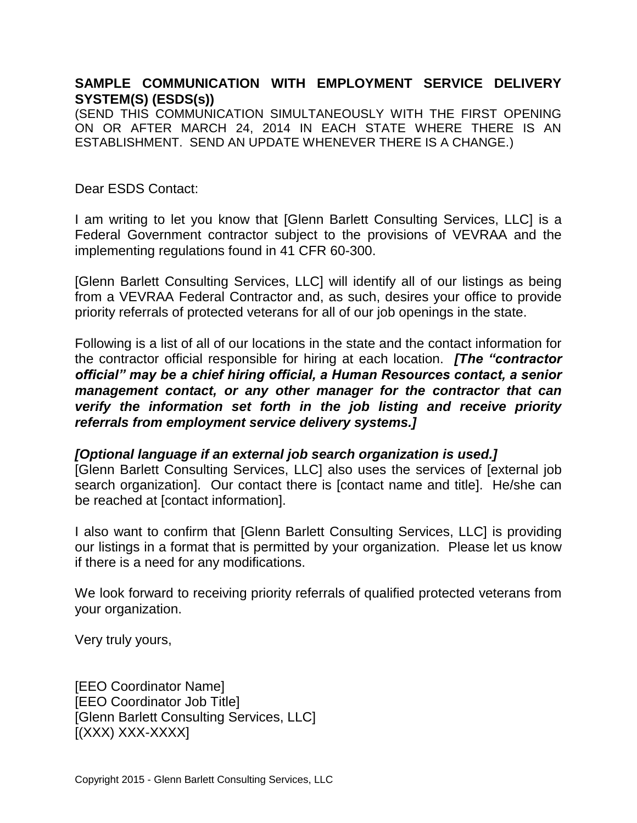## **SAMPLE COMMUNICATION WITH EMPLOYMENT SERVICE DELIVERY SYSTEM(S) (ESDS(s))**

(SEND THIS COMMUNICATION SIMULTANEOUSLY WITH THE FIRST OPENING ON OR AFTER MARCH 24, 2014 IN EACH STATE WHERE THERE IS AN ESTABLISHMENT. SEND AN UPDATE WHENEVER THERE IS A CHANGE.)

## Dear ESDS Contact:

I am writing to let you know that [Glenn Barlett Consulting Services, LLC] is a Federal Government contractor subject to the provisions of VEVRAA and the implementing regulations found in 41 CFR 60-300.

[Glenn Barlett Consulting Services, LLC] will identify all of our listings as being from a VEVRAA Federal Contractor and, as such, desires your office to provide priority referrals of protected veterans for all of our job openings in the state.

Following is a list of all of our locations in the state and the contact information for the contractor official responsible for hiring at each location. *[The "contractor official" may be a chief hiring official, a Human Resources contact, a senior management contact, or any other manager for the contractor that can verify the information set forth in the job listing and receive priority referrals from employment service delivery systems.]*

## *[Optional language if an external job search organization is used.]*

[Glenn Barlett Consulting Services, LLC] also uses the services of [external job search organization]. Our contact there is [contact name and title]. He/she can be reached at [contact information].

I also want to confirm that [Glenn Barlett Consulting Services, LLC] is providing our listings in a format that is permitted by your organization. Please let us know if there is a need for any modifications.

We look forward to receiving priority referrals of qualified protected veterans from your organization.

Very truly yours,

[EEO Coordinator Name] [EEO Coordinator Job Title] [Glenn Barlett Consulting Services, LLC] [(XXX) XXX-XXXX]